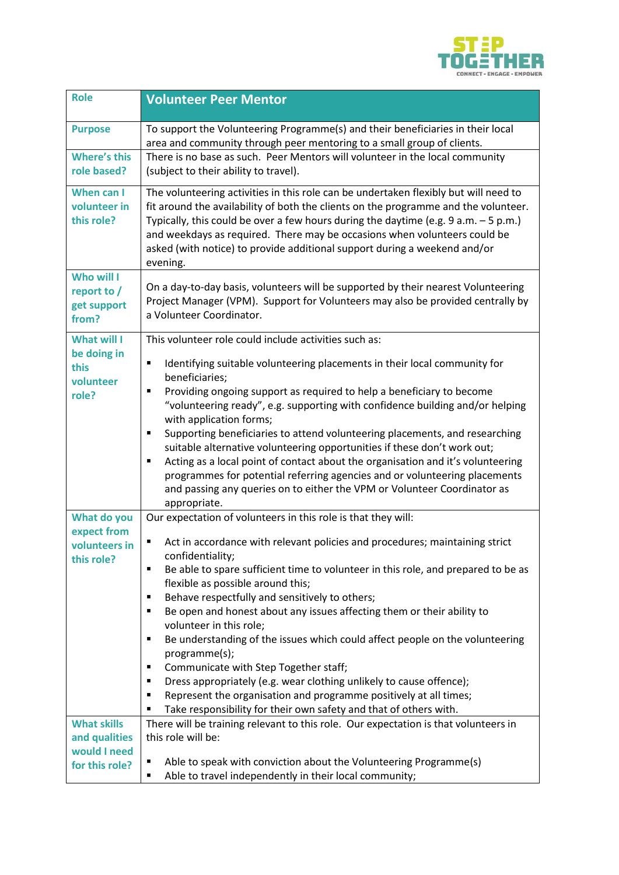

| <b>Role</b>                                       | <b>Volunteer Peer Mentor</b>                                                                                                                                                                                                                                                                                                                                                                                                                |
|---------------------------------------------------|---------------------------------------------------------------------------------------------------------------------------------------------------------------------------------------------------------------------------------------------------------------------------------------------------------------------------------------------------------------------------------------------------------------------------------------------|
| <b>Purpose</b>                                    | To support the Volunteering Programme(s) and their beneficiaries in their local<br>area and community through peer mentoring to a small group of clients.                                                                                                                                                                                                                                                                                   |
| <b>Where's this</b><br>role based?                | There is no base as such. Peer Mentors will volunteer in the local community<br>(subject to their ability to travel).                                                                                                                                                                                                                                                                                                                       |
| When can I<br>volunteer in<br>this role?          | The volunteering activities in this role can be undertaken flexibly but will need to<br>fit around the availability of both the clients on the programme and the volunteer.<br>Typically, this could be over a few hours during the daytime (e.g. $9 a.m. - 5 p.m.$ )<br>and weekdays as required. There may be occasions when volunteers could be<br>asked (with notice) to provide additional support during a weekend and/or<br>evening. |
| Who will I<br>report to /<br>get support<br>from? | On a day-to-day basis, volunteers will be supported by their nearest Volunteering<br>Project Manager (VPM). Support for Volunteers may also be provided centrally by<br>a Volunteer Coordinator.                                                                                                                                                                                                                                            |
| <b>What will I</b>                                | This volunteer role could include activities such as:                                                                                                                                                                                                                                                                                                                                                                                       |
| be doing in<br>this<br>volunteer                  | Identifying suitable volunteering placements in their local community for<br>٠<br>beneficiaries;                                                                                                                                                                                                                                                                                                                                            |
| role?                                             | Providing ongoing support as required to help a beneficiary to become<br>٠<br>"volunteering ready", e.g. supporting with confidence building and/or helping<br>with application forms;                                                                                                                                                                                                                                                      |
|                                                   | Supporting beneficiaries to attend volunteering placements, and researching<br>٠<br>suitable alternative volunteering opportunities if these don't work out;<br>Acting as a local point of contact about the organisation and it's volunteering<br>п<br>programmes for potential referring agencies and or volunteering placements<br>and passing any queries on to either the VPM or Volunteer Coordinator as<br>appropriate.              |
| What do you<br>expect from                        | Our expectation of volunteers in this role is that they will:                                                                                                                                                                                                                                                                                                                                                                               |
| volunteers in                                     | Act in accordance with relevant policies and procedures; maintaining strict<br>confidentiality;                                                                                                                                                                                                                                                                                                                                             |
| this role?                                        | Be able to spare sufficient time to volunteer in this role, and prepared to be as<br>٠<br>flexible as possible around this;                                                                                                                                                                                                                                                                                                                 |
|                                                   | Behave respectfully and sensitively to others;<br>٠<br>Be open and honest about any issues affecting them or their ability to<br>п                                                                                                                                                                                                                                                                                                          |
|                                                   | volunteer in this role;                                                                                                                                                                                                                                                                                                                                                                                                                     |
|                                                   | Be understanding of the issues which could affect people on the volunteering<br>٠<br>programme(s);                                                                                                                                                                                                                                                                                                                                          |
|                                                   | Communicate with Step Together staff;<br>п                                                                                                                                                                                                                                                                                                                                                                                                  |
|                                                   | Dress appropriately (e.g. wear clothing unlikely to cause offence);<br>п                                                                                                                                                                                                                                                                                                                                                                    |
|                                                   | Represent the organisation and programme positively at all times;<br>٠<br>Take responsibility for their own safety and that of others with.<br>п                                                                                                                                                                                                                                                                                            |
| <b>What skills</b>                                | There will be training relevant to this role. Our expectation is that volunteers in                                                                                                                                                                                                                                                                                                                                                         |
| and qualities                                     | this role will be:                                                                                                                                                                                                                                                                                                                                                                                                                          |
| would I need<br>for this role?                    | Able to speak with conviction about the Volunteering Programme(s)<br>Able to travel independently in their local community;<br>п                                                                                                                                                                                                                                                                                                            |